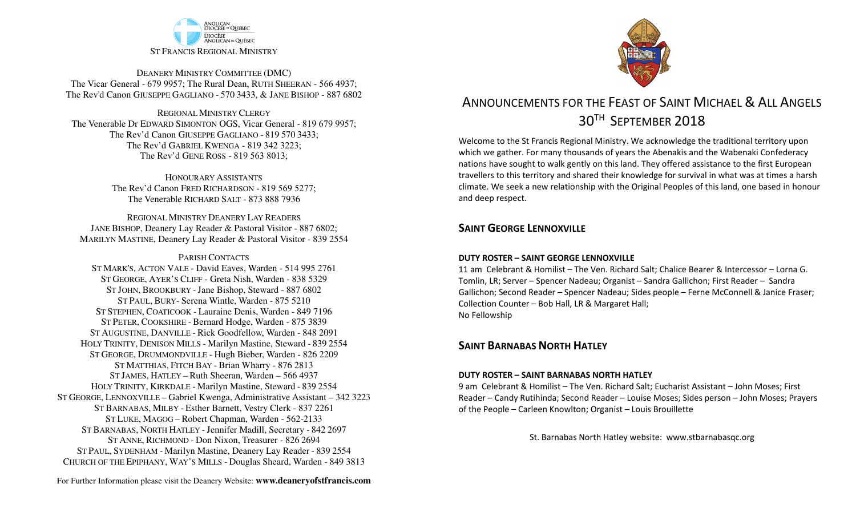

DEANERY MINISTRY COMMITTEE (DMC) The Vicar General - 679 9957; The Rural Dean, RUTH SHEERAN - 566 4937; The Rev'd Canon GIUSEPPE GAGLIANO - <sup>570</sup> 3433, & JANE BISHOP - 887 6802

REGIONAL MINISTRY CLERGY The Venerable Dr EDWARD SIMONTON OGS, Vicar General - 819 679 9957;The Rev'd Canon GIUSEPPE GAGLIANO - <sup>819</sup> <sup>570</sup> 3433; The Rev'd GABRIEL KWENGA - 819 342 3223;The Rev'd GENE ROSS - 819 563 8013;

> HONOURARY ASSISTANTS The Rev'd Canon FRED RICHARDSON - 819 569 5277;The Venerable RICHARD SALT - 873 888 7936

REGIONAL MINISTRY DEANERY LAY READERS JANE BISHOP, Deanery Lay Reader & Pastoral Visitor - 887 6802;MARILYN MASTINE, Deanery Lay Reader & Pastoral Visitor - 839 2554

### PARISH CONTACTS ST MARK'S, ACTON VALE - David Eaves, Warden - 514 995 2761 ST GEORGE, AYER'S CLIFF - Greta Nish, Warden - 838 5329 ST JOHN, BROOKBURY -Jane Bishop, Steward - 887 6802 ST PAUL, BURY- Serena Wintle, Warden - 875 5210 ST STEPHEN, COATICOOK - Lauraine Denis, Warden - 849 7196 ST PETER, COOKSHIRE - Bernard Hodge, Warden - 875 3839 ST AUGUSTINE, DANVILLE - Rick Goodfellow, Warden - 848 2091 HOLY TRINITY, DENISON MILLS - Marilyn Mastine, Steward - <sup>839</sup> <sup>2554</sup> ST GEORGE, DRUMMONDVILLE - Hugh Bieber, Warden - 826 2209 ST MATTHIAS, FITCH BAY - Brian Wharry - 876 2813 ST JAMES, HATLEY – Ruth Sheeran, Warden – 566 4937 HOLY TRINITY, KIRKDALE - Marilyn Mastine, Steward - <sup>839</sup> <sup>2554</sup> ST GEORGE, LENNOXVILLE – Gabriel Kwenga, Administrative Assistant – 342 3223 ST BARNABAS, MILBY - Esther Barnett, Vestry Clerk - 837 2261 ST LUKE, MAGOG – Robert Chapman, Warden - 562-2133 ST BARNABAS, NORTH HATLEY -Jennifer Madill, Secretary - <sup>842</sup> <sup>2697</sup> ST ANNE, RICHMOND - Don Nixon, Treasurer - 826 <sup>2694</sup> ST PAUL, SYDENHAM - Marilyn Mastine, Deanery Lay Reader - <sup>839</sup> <sup>2554</sup> CHURCH OF THE EPIPHANY, WAY'S MILLS - Douglas Sheard, Warden - 849 3813



# ANNOUNCEMENTS FOR THE FEAST OF SAINT MICHAEL & ALL ANGELS  $30^{\texttt{TH}}$  September  $2018$

Welcome to the St Francis Regional Ministry. We acknowledge the traditional territory upon which we gather. For many thousands of years the Abenakis and the Wabenaki Confederacy nations have sought to walk gently on this land. They offered assistance to the first European travellers to this territory and shared their knowledge for survival in what was at times a harsh climate. We seek a new relationship with the Original Peoples of this land, one based in honour and deep respect.

### **SAINT GEORGE LENNOXVILLE**

### **DUTY ROSTER – SAINT GEORGE LENNOXVILLE**

11 am Celebrant & Homilist – The Ven. Richard Salt; Chalice Bearer & Intercessor – Lorna G. Tomlin, LR; Server – Spencer Nadeau; Organist – Sandra Gallichon; First Reader – Sandra Gallichon; Second Reader – Spencer Nadeau; Sides people – Ferne McConnell & Janice Fraser; Collection Counter – Bob Hall, LR & Margaret Hall; No Fellowship

### **SAINT BARNABAS NORTH HATLEY**

### **DUTY ROSTER – SAINT BARNABAS NORTH HATLEY**

9 am Celebrant & Homilist – The Ven. Richard Salt; Eucharist Assistant – John Moses; First Reader – Candy Rutihinda; Second Reader – Louise Moses; Sides person – John Moses; Prayers of the People – Carleen Knowlton; Organist – Louis Brouillette

St. Barnabas North Hatley website: www.stbarnabasqc.org

For Further Information please visit the Deanery Website: **www.deaneryofstfrancis.com**